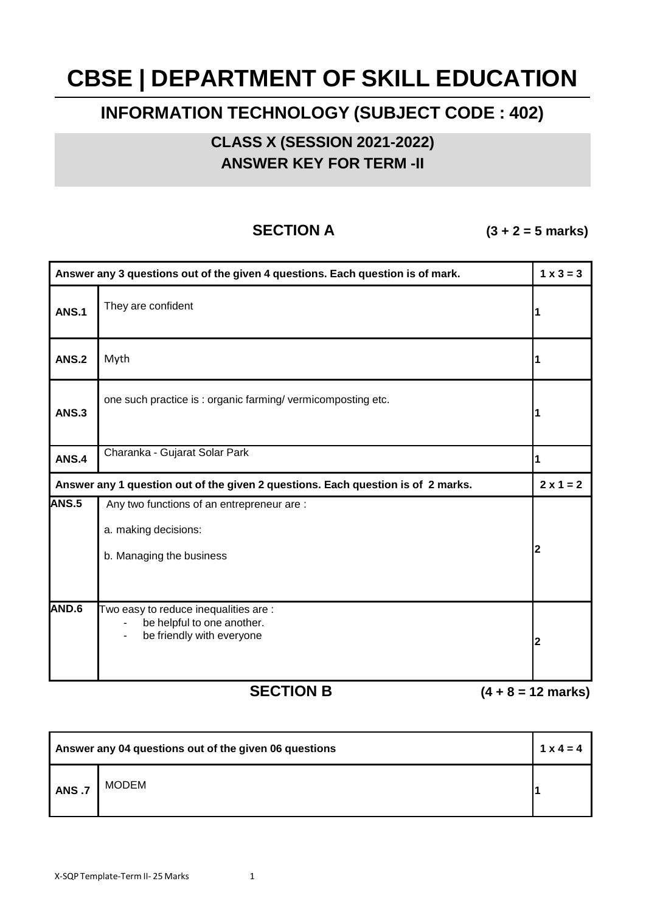# **CBSE | DEPARTMENT OF SKILL EDUCATION**

## **INFORMATION TECHNOLOGY (SUBJECT CODE : 402)**

**CLASS X (SESSION 2021-2022) ANSWER KEY FOR TERM -II**

**SECTION A (3 + 2 = 5 marks)**

| Answer any 3 questions out of the given 4 questions. Each question is of mark.   |                                                                                                  | $1 \times 3 = 3$        |
|----------------------------------------------------------------------------------|--------------------------------------------------------------------------------------------------|-------------------------|
| <b>ANS.1</b>                                                                     | They are confident                                                                               | 1                       |
| <b>ANS.2</b>                                                                     | Myth                                                                                             | 1                       |
| <b>ANS.3</b>                                                                     | one such practice is : organic farming/vermicomposting etc.                                      | 1                       |
| <b>ANS.4</b>                                                                     | Charanka - Gujarat Solar Park                                                                    | 1                       |
| Answer any 1 question out of the given 2 questions. Each question is of 2 marks. |                                                                                                  | $2 \times 1 = 2$        |
| <b>ANS.5</b>                                                                     | Any two functions of an entrepreneur are :<br>a. making decisions:<br>b. Managing the business   | 2                       |
| AND.6                                                                            | Two easy to reduce inequalities are :<br>be helpful to one another.<br>be friendly with everyone | $\overline{\mathbf{2}}$ |

**SECTION B (4 + 8 = 12 marks)**

| Answer any 04 questions out of the given 06 questions |              | $1 \times 4 = 4$ |
|-------------------------------------------------------|--------------|------------------|
| <b>ANS.7</b>                                          | <b>MODEM</b> |                  |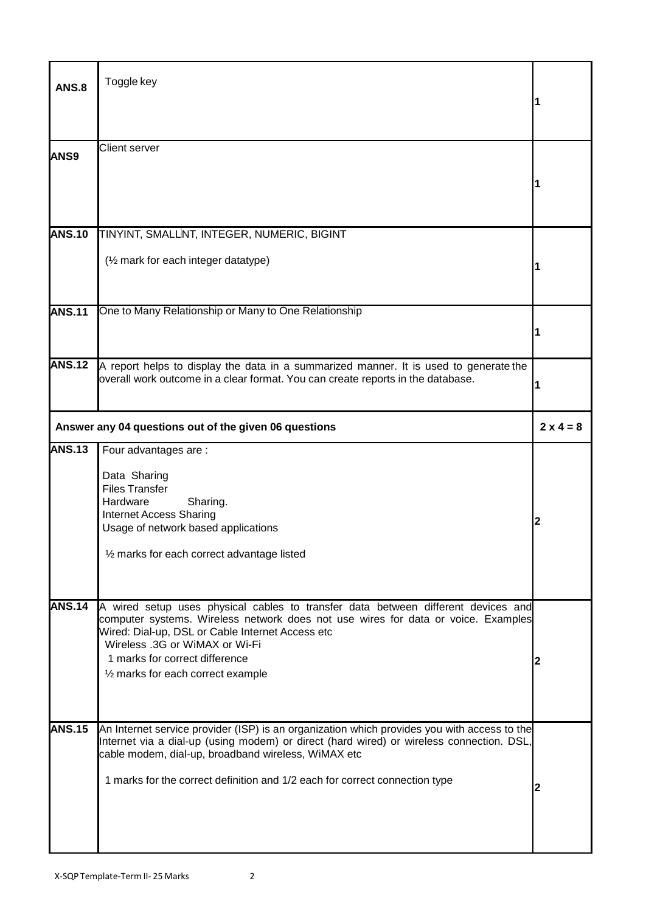| <b>ANS.8</b>  | Toggle key                                                                                                                                                                                                                                                                                                                           |                  |
|---------------|--------------------------------------------------------------------------------------------------------------------------------------------------------------------------------------------------------------------------------------------------------------------------------------------------------------------------------------|------------------|
| <b>ANS9</b>   | <b>Client server</b>                                                                                                                                                                                                                                                                                                                 |                  |
| <b>ANS.10</b> | TINYINT, SMALLINT, INTEGER, NUMERIC, BIGINT<br>(1/2 mark for each integer datatype)                                                                                                                                                                                                                                                  |                  |
| <b>ANS.11</b> | One to Many Relationship or Many to One Relationship                                                                                                                                                                                                                                                                                 | 1                |
| <b>ANS.12</b> | A report helps to display the data in a summarized manner. It is used to generate the<br>overall work outcome in a clear format. You can create reports in the database.                                                                                                                                                             | 1                |
|               | Answer any 04 questions out of the given 06 questions                                                                                                                                                                                                                                                                                | $2 \times 4 = 8$ |
| <b>ANS.13</b> | Four advantages are :<br>Data Sharing<br><b>Files Transfer</b><br>Hardware<br>Sharing.<br><b>Internet Access Sharing</b><br>Usage of network based applications<br>1/2 marks for each correct advantage listed                                                                                                                       | 2                |
| <b>ANS.14</b> | A wired setup uses physical cables to transfer data between different devices and<br>computer systems. Wireless network does not use wires for data or voice. Examples<br>Wired: Dial-up, DSL or Cable Internet Access etc<br>Wireless .3G or WiMAX or Wi-Fi<br>1 marks for correct difference<br>1/2 marks for each correct example | 2                |
| <b>ANS.15</b> | An Internet service provider (ISP) is an organization which provides you with access to the<br>Internet via a dial-up (using modem) or direct (hard wired) or wireless connection. DSL,<br>cable modem, dial-up, broadband wireless, WiMAX etc<br>1 marks for the correct definition and 1/2 each for correct connection type        | 2                |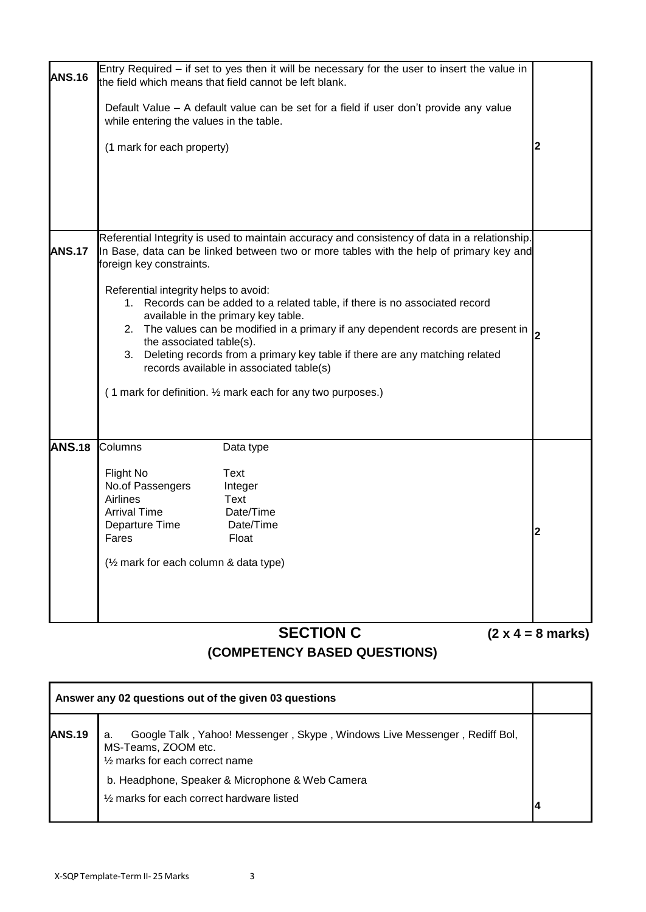|               | <b>SECTION C</b>                                                                                                                                                                                                                                                                                                                                                                                                                                                                                                                                                                                                                                                                                     | $(2 x 4 = 8 marks)$ |
|---------------|------------------------------------------------------------------------------------------------------------------------------------------------------------------------------------------------------------------------------------------------------------------------------------------------------------------------------------------------------------------------------------------------------------------------------------------------------------------------------------------------------------------------------------------------------------------------------------------------------------------------------------------------------------------------------------------------------|---------------------|
| <b>ANS.18</b> | Columns<br>Data type<br><b>Flight No</b><br>Text<br>No.of Passengers<br>Integer<br>Airlines<br>Text<br><b>Arrival Time</b><br>Date/Time<br>Departure Time<br>Date/Time<br>Fares<br>Float<br>(1/2 mark for each column & data type)                                                                                                                                                                                                                                                                                                                                                                                                                                                                   | 2                   |
| <b>ANS.17</b> | Referential Integrity is used to maintain accuracy and consistency of data in a relationship.<br>In Base, data can be linked between two or more tables with the help of primary key and<br>foreign key constraints.<br>Referential integrity helps to avoid:<br>1. Records can be added to a related table, if there is no associated record<br>available in the primary key table.<br>2. The values can be modified in a primary if any dependent records are present in<br>the associated table(s).<br>3. Deleting records from a primary key table if there are any matching related<br>records available in associated table(s)<br>(1 mark for definition. 1/2 mark each for any two purposes.) | 2                   |
| <b>ANS.16</b> | Entry Required $-$ if set to yes then it will be necessary for the user to insert the value in<br>the field which means that field cannot be left blank.<br>Default Value – A default value can be set for a field if user don't provide any value<br>while entering the values in the table.<br>(1 mark for each property)                                                                                                                                                                                                                                                                                                                                                                          | 2                   |
|               |                                                                                                                                                                                                                                                                                                                                                                                                                                                                                                                                                                                                                                                                                                      |                     |

### **(COMPETENCY BASED QUESTIONS)**

|               | Answer any 02 questions out of the given 03 questions                                                                                     |  |
|---------------|-------------------------------------------------------------------------------------------------------------------------------------------|--|
| <b>ANS.19</b> | Google Talk, Yahoo! Messenger, Skype, Windows Live Messenger, Rediff Bol,<br>a.<br>MS-Teams, ZOOM etc.<br>1/2 marks for each correct name |  |
|               | b. Headphone, Speaker & Microphone & Web Camera                                                                                           |  |
|               | 1/2 marks for each correct hardware listed                                                                                                |  |